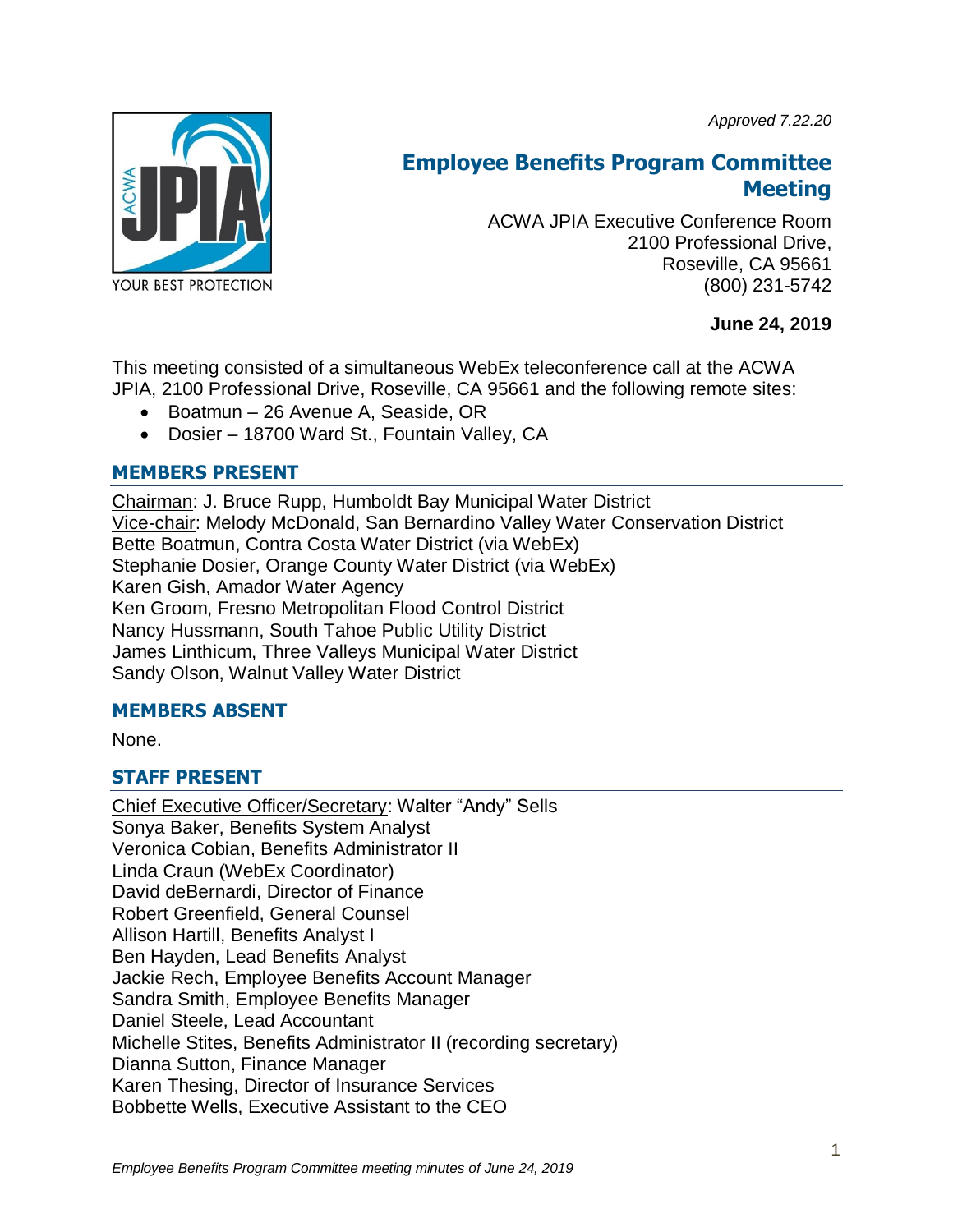*Approved 7.22.20*



# **Employee Benefits Program Committee Meeting**

ACWA JPIA Executive Conference Room 2100 Professional Drive, Roseville, CA 95661 (800) 231-5742

# **June 24, 2019**

This meeting consisted of a simultaneous WebEx teleconference call at the ACWA JPIA, 2100 Professional Drive, Roseville, CA 95661 and the following remote sites:

- Boatmun 26 Avenue A, Seaside, OR
- Dosier 18700 Ward St., Fountain Valley, CA

### **MEMBERS PRESENT**

Chairman: J. Bruce Rupp, Humboldt Bay Municipal Water District Vice-chair: Melody McDonald, San Bernardino Valley Water Conservation District Bette Boatmun, Contra Costa Water District (via WebEx) Stephanie Dosier, Orange County Water District (via WebEx) Karen Gish, Amador Water Agency Ken Groom, Fresno Metropolitan Flood Control District Nancy Hussmann, South Tahoe Public Utility District James Linthicum, Three Valleys Municipal Water District Sandy Olson, Walnut Valley Water District

### **MEMBERS ABSENT**

None.

# **STAFF PRESENT**

Chief Executive Officer/Secretary: Walter "Andy" Sells Sonya Baker, Benefits System Analyst Veronica Cobian, Benefits Administrator II Linda Craun (WebEx Coordinator) David deBernardi, Director of Finance Robert Greenfield, General Counsel Allison Hartill, Benefits Analyst I Ben Hayden, Lead Benefits Analyst Jackie Rech, Employee Benefits Account Manager Sandra Smith, Employee Benefits Manager Daniel Steele, Lead Accountant Michelle Stites, Benefits Administrator II (recording secretary) Dianna Sutton, Finance Manager Karen Thesing, Director of Insurance Services Bobbette Wells, Executive Assistant to the CEO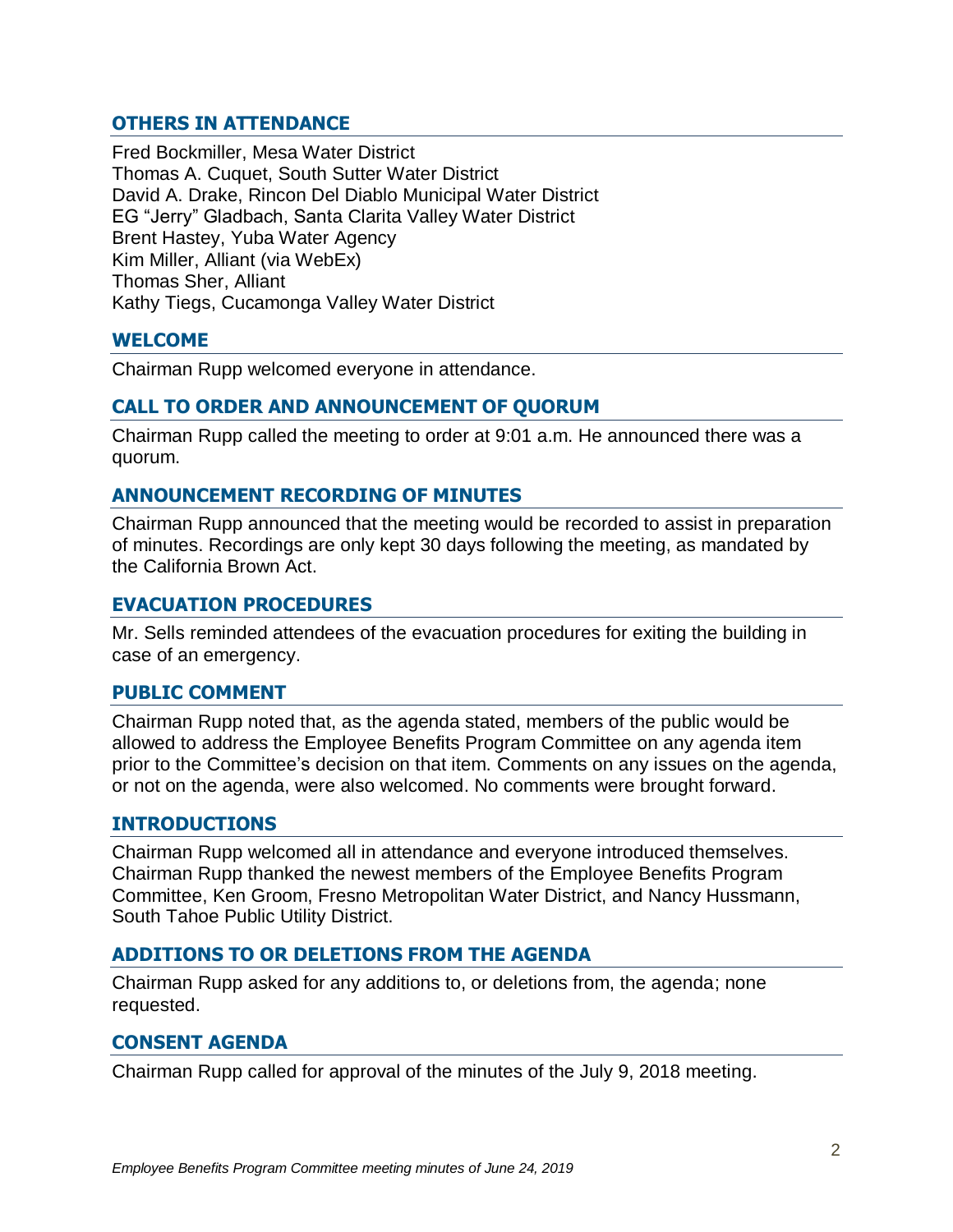# **OTHERS IN ATTENDANCE**

Fred Bockmiller, Mesa Water District Thomas A. Cuquet, South Sutter Water District David A. Drake, Rincon Del Diablo Municipal Water District EG "Jerry" Gladbach, Santa Clarita Valley Water District Brent Hastey, Yuba Water Agency Kim Miller, Alliant (via WebEx) Thomas Sher, Alliant Kathy Tiegs, Cucamonga Valley Water District

### **WELCOME**

Chairman Rupp welcomed everyone in attendance.

#### **CALL TO ORDER AND ANNOUNCEMENT OF QUORUM**

Chairman Rupp called the meeting to order at 9:01 a.m. He announced there was a quorum.

### **ANNOUNCEMENT RECORDING OF MINUTES**

Chairman Rupp announced that the meeting would be recorded to assist in preparation of minutes. Recordings are only kept 30 days following the meeting, as mandated by the California Brown Act.

#### **EVACUATION PROCEDURES**

Mr. Sells reminded attendees of the evacuation procedures for exiting the building in case of an emergency.

#### **PUBLIC COMMENT**

Chairman Rupp noted that, as the agenda stated, members of the public would be allowed to address the Employee Benefits Program Committee on any agenda item prior to the Committee's decision on that item. Comments on any issues on the agenda, or not on the agenda, were also welcomed. No comments were brought forward.

#### **INTRODUCTIONS**

Chairman Rupp welcomed all in attendance and everyone introduced themselves. Chairman Rupp thanked the newest members of the Employee Benefits Program Committee, Ken Groom, Fresno Metropolitan Water District, and Nancy Hussmann, South Tahoe Public Utility District.

### **ADDITIONS TO OR DELETIONS FROM THE AGENDA**

Chairman Rupp asked for any additions to, or deletions from, the agenda; none requested.

#### **CONSENT AGENDA**

Chairman Rupp called for approval of the minutes of the July 9, 2018 meeting.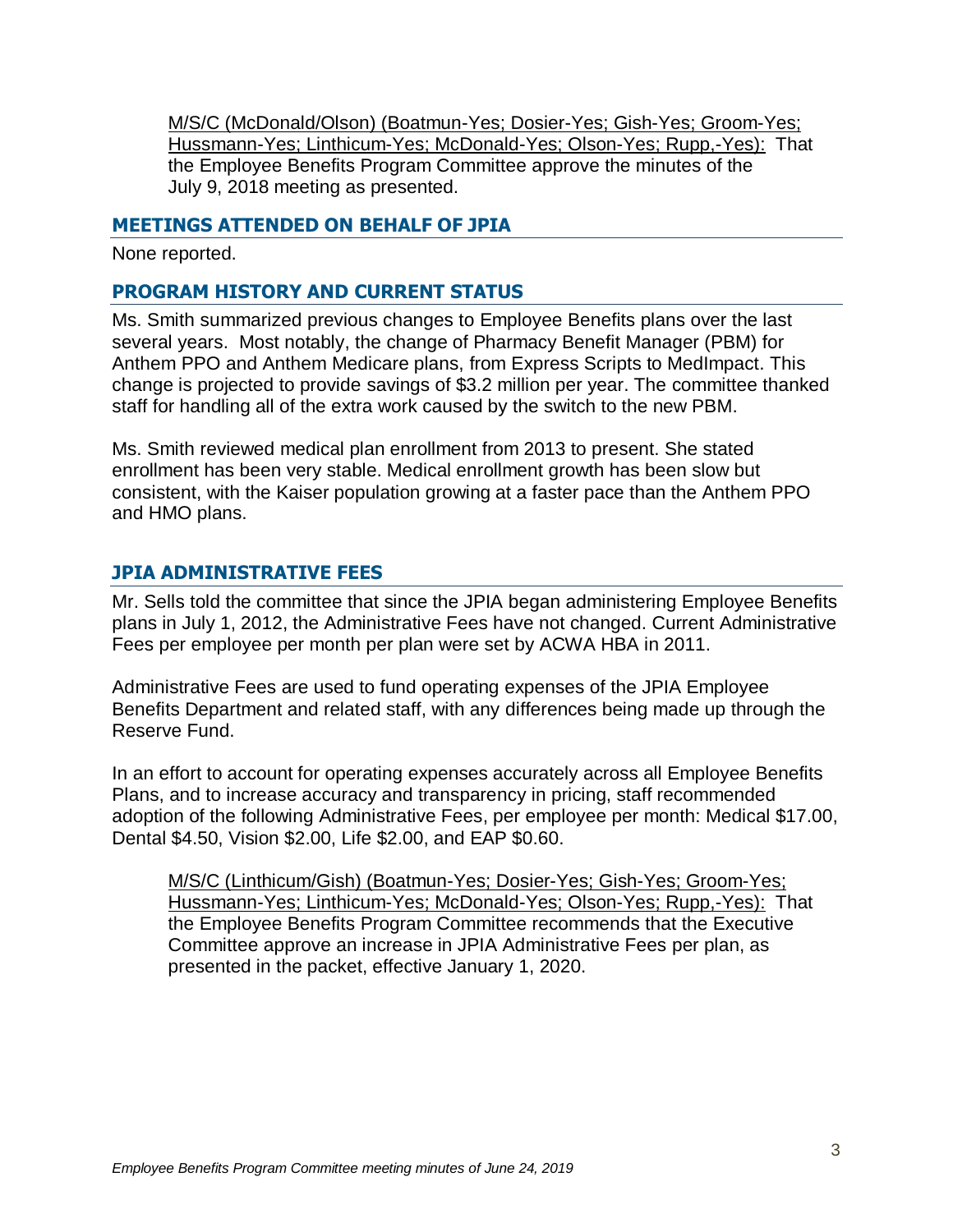M/S/C (McDonald/Olson) (Boatmun-Yes; Dosier-Yes; Gish-Yes; Groom-Yes; Hussmann-Yes; Linthicum-Yes; McDonald-Yes; Olson-Yes; Rupp,-Yes): That the Employee Benefits Program Committee approve the minutes of the July 9, 2018 meeting as presented.

## **MEETINGS ATTENDED ON BEHALF OF JPIA**

None reported.

# **PROGRAM HISTORY AND CURRENT STATUS**

Ms. Smith summarized previous changes to Employee Benefits plans over the last several years. Most notably, the change of Pharmacy Benefit Manager (PBM) for Anthem PPO and Anthem Medicare plans, from Express Scripts to MedImpact. This change is projected to provide savings of \$3.2 million per year. The committee thanked staff for handling all of the extra work caused by the switch to the new PBM.

Ms. Smith reviewed medical plan enrollment from 2013 to present. She stated enrollment has been very stable. Medical enrollment growth has been slow but consistent, with the Kaiser population growing at a faster pace than the Anthem PPO and HMO plans.

# **JPIA ADMINISTRATIVE FEES**

Mr. Sells told the committee that since the JPIA began administering Employee Benefits plans in July 1, 2012, the Administrative Fees have not changed. Current Administrative Fees per employee per month per plan were set by ACWA HBA in 2011.

Administrative Fees are used to fund operating expenses of the JPIA Employee Benefits Department and related staff, with any differences being made up through the Reserve Fund.

In an effort to account for operating expenses accurately across all Employee Benefits Plans, and to increase accuracy and transparency in pricing, staff recommended adoption of the following Administrative Fees, per employee per month: Medical \$17.00, Dental \$4.50, Vision \$2.00, Life \$2.00, and EAP \$0.60.

M/S/C (Linthicum/Gish) (Boatmun-Yes; Dosier-Yes; Gish-Yes; Groom-Yes; Hussmann-Yes; Linthicum-Yes; McDonald-Yes; Olson-Yes; Rupp,-Yes): That the Employee Benefits Program Committee recommends that the Executive Committee approve an increase in JPIA Administrative Fees per plan, as presented in the packet, effective January 1, 2020.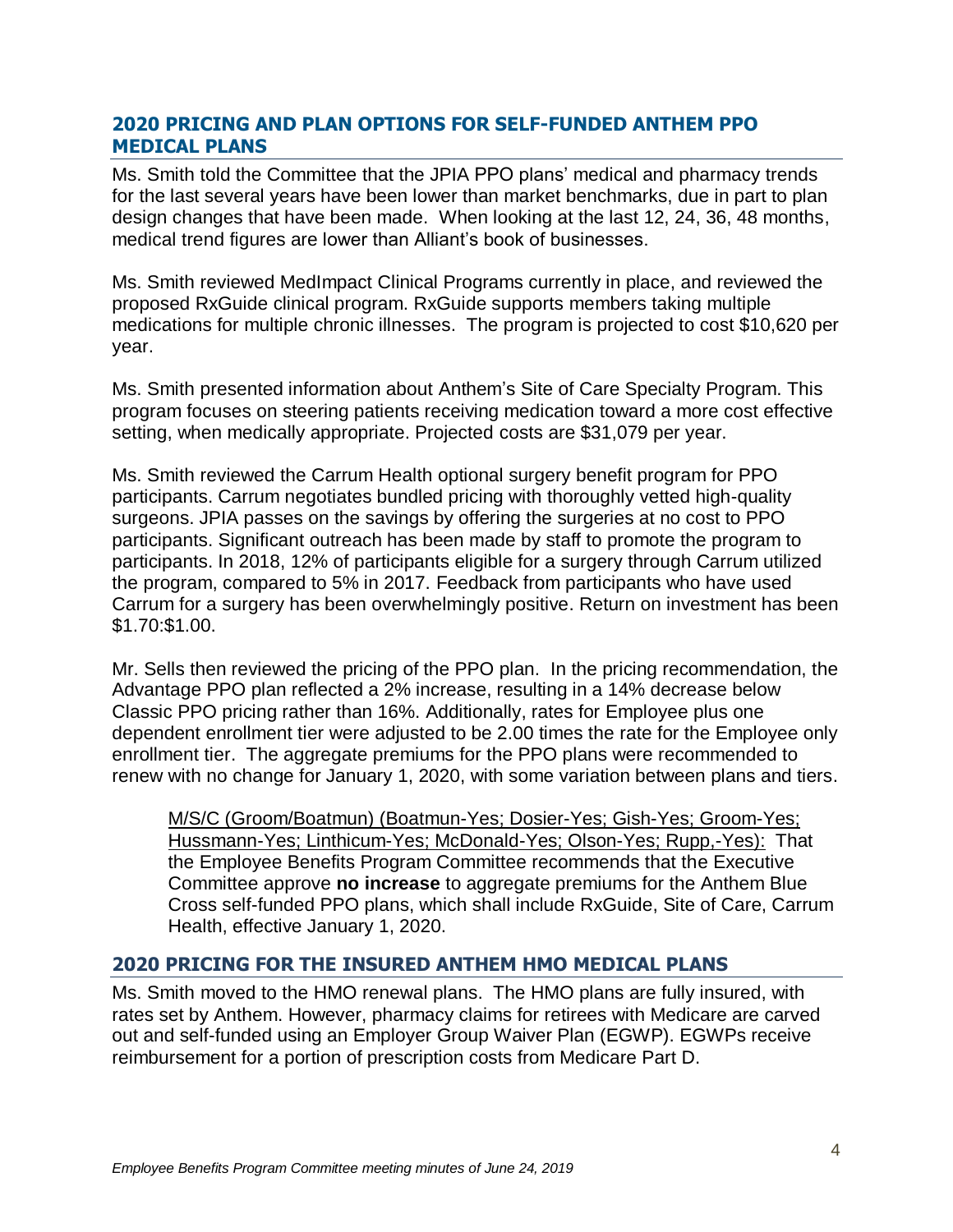## **2020 PRICING AND PLAN OPTIONS FOR SELF-FUNDED ANTHEM PPO MEDICAL PLANS**

Ms. Smith told the Committee that the JPIA PPO plans' medical and pharmacy trends for the last several years have been lower than market benchmarks, due in part to plan design changes that have been made. When looking at the last 12, 24, 36, 48 months, medical trend figures are lower than Alliant's book of businesses.

Ms. Smith reviewed MedImpact Clinical Programs currently in place, and reviewed the proposed RxGuide clinical program. RxGuide supports members taking multiple medications for multiple chronic illnesses. The program is projected to cost \$10,620 per year.

Ms. Smith presented information about Anthem's Site of Care Specialty Program. This program focuses on steering patients receiving medication toward a more cost effective setting, when medically appropriate. Projected costs are \$31,079 per year.

Ms. Smith reviewed the Carrum Health optional surgery benefit program for PPO participants. Carrum negotiates bundled pricing with thoroughly vetted high-quality surgeons. JPIA passes on the savings by offering the surgeries at no cost to PPO participants. Significant outreach has been made by staff to promote the program to participants. In 2018, 12% of participants eligible for a surgery through Carrum utilized the program, compared to 5% in 2017. Feedback from participants who have used Carrum for a surgery has been overwhelmingly positive. Return on investment has been \$1.70:\$1.00.

Mr. Sells then reviewed the pricing of the PPO plan. In the pricing recommendation, the Advantage PPO plan reflected a 2% increase, resulting in a 14% decrease below Classic PPO pricing rather than 16%. Additionally, rates for Employee plus one dependent enrollment tier were adjusted to be 2.00 times the rate for the Employee only enrollment tier. The aggregate premiums for the PPO plans were recommended to renew with no change for January 1, 2020, with some variation between plans and tiers.

M/S/C (Groom/Boatmun) (Boatmun-Yes; Dosier-Yes; Gish-Yes; Groom-Yes; Hussmann-Yes; Linthicum-Yes; McDonald-Yes; Olson-Yes; Rupp,-Yes): That the Employee Benefits Program Committee recommends that the Executive Committee approve **no increase** to aggregate premiums for the Anthem Blue Cross self-funded PPO plans, which shall include RxGuide, Site of Care, Carrum Health, effective January 1, 2020.

# **2020 PRICING FOR THE INSURED ANTHEM HMO MEDICAL PLANS**

Ms. Smith moved to the HMO renewal plans. The HMO plans are fully insured, with rates set by Anthem. However, pharmacy claims for retirees with Medicare are carved out and self-funded using an Employer Group Waiver Plan (EGWP). EGWPs receive reimbursement for a portion of prescription costs from Medicare Part D.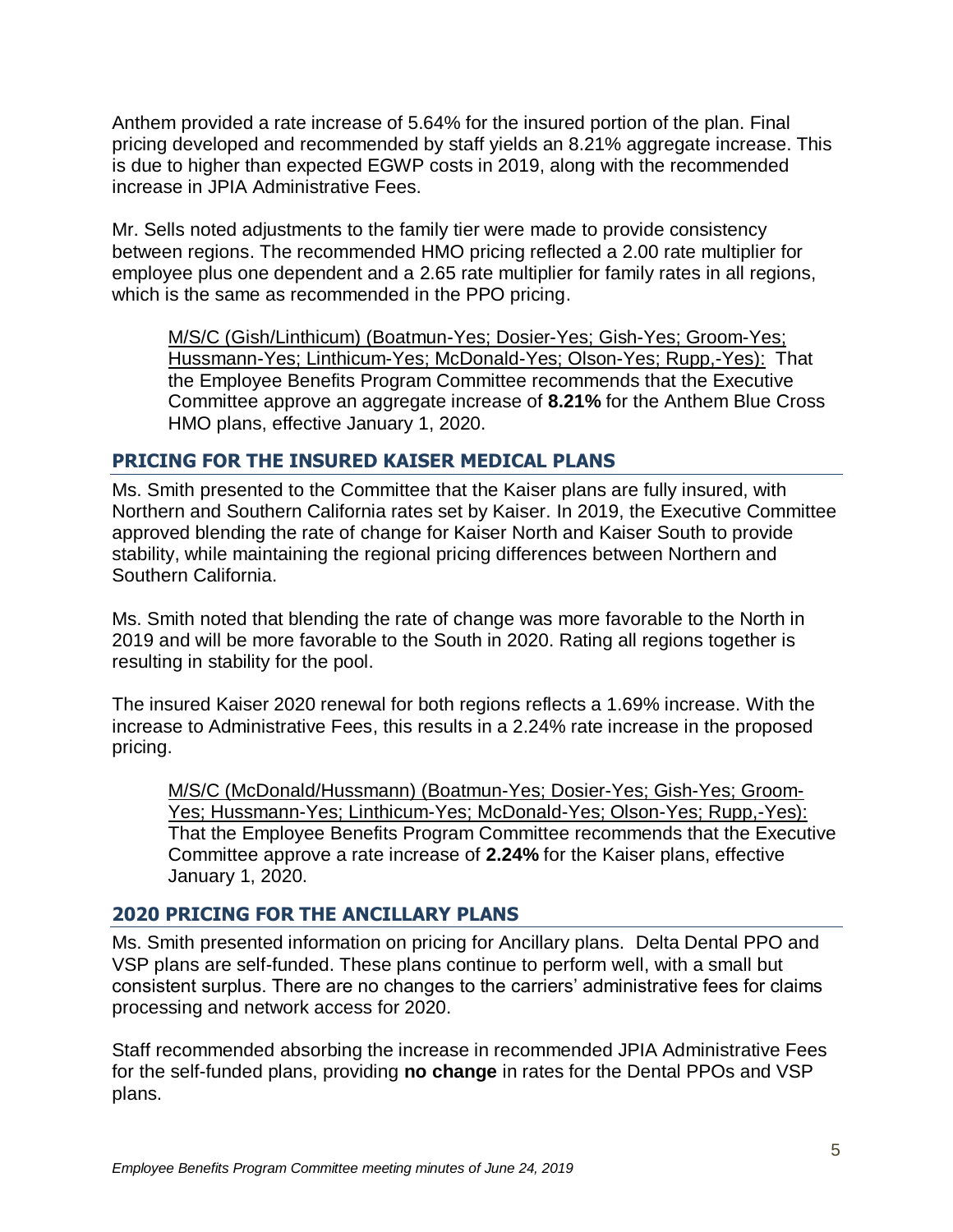Anthem provided a rate increase of 5.64% for the insured portion of the plan. Final pricing developed and recommended by staff yields an 8.21% aggregate increase. This is due to higher than expected EGWP costs in 2019, along with the recommended increase in JPIA Administrative Fees.

Mr. Sells noted adjustments to the family tier were made to provide consistency between regions. The recommended HMO pricing reflected a 2.00 rate multiplier for employee plus one dependent and a 2.65 rate multiplier for family rates in all regions, which is the same as recommended in the PPO pricing.

M/S/C (Gish/Linthicum) (Boatmun-Yes; Dosier-Yes; Gish-Yes; Groom-Yes; Hussmann-Yes; Linthicum-Yes; McDonald-Yes; Olson-Yes; Rupp,-Yes): That the Employee Benefits Program Committee recommends that the Executive Committee approve an aggregate increase of **8.21%** for the Anthem Blue Cross HMO plans, effective January 1, 2020.

# **PRICING FOR THE INSURED KAISER MEDICAL PLANS**

Ms. Smith presented to the Committee that the Kaiser plans are fully insured, with Northern and Southern California rates set by Kaiser. In 2019, the Executive Committee approved blending the rate of change for Kaiser North and Kaiser South to provide stability, while maintaining the regional pricing differences between Northern and Southern California.

Ms. Smith noted that blending the rate of change was more favorable to the North in 2019 and will be more favorable to the South in 2020. Rating all regions together is resulting in stability for the pool.

The insured Kaiser 2020 renewal for both regions reflects a 1.69% increase. With the increase to Administrative Fees, this results in a 2.24% rate increase in the proposed pricing.

M/S/C (McDonald/Hussmann) (Boatmun-Yes; Dosier-Yes; Gish-Yes; Groom-Yes; Hussmann-Yes; Linthicum-Yes; McDonald-Yes; Olson-Yes; Rupp,-Yes): That the Employee Benefits Program Committee recommends that the Executive Committee approve a rate increase of **2.24%** for the Kaiser plans, effective January 1, 2020.

# **2020 PRICING FOR THE ANCILLARY PLANS**

Ms. Smith presented information on pricing for Ancillary plans. Delta Dental PPO and VSP plans are self-funded. These plans continue to perform well, with a small but consistent surplus. There are no changes to the carriers' administrative fees for claims processing and network access for 2020.

Staff recommended absorbing the increase in recommended JPIA Administrative Fees for the self-funded plans, providing **no change** in rates for the Dental PPOs and VSP plans.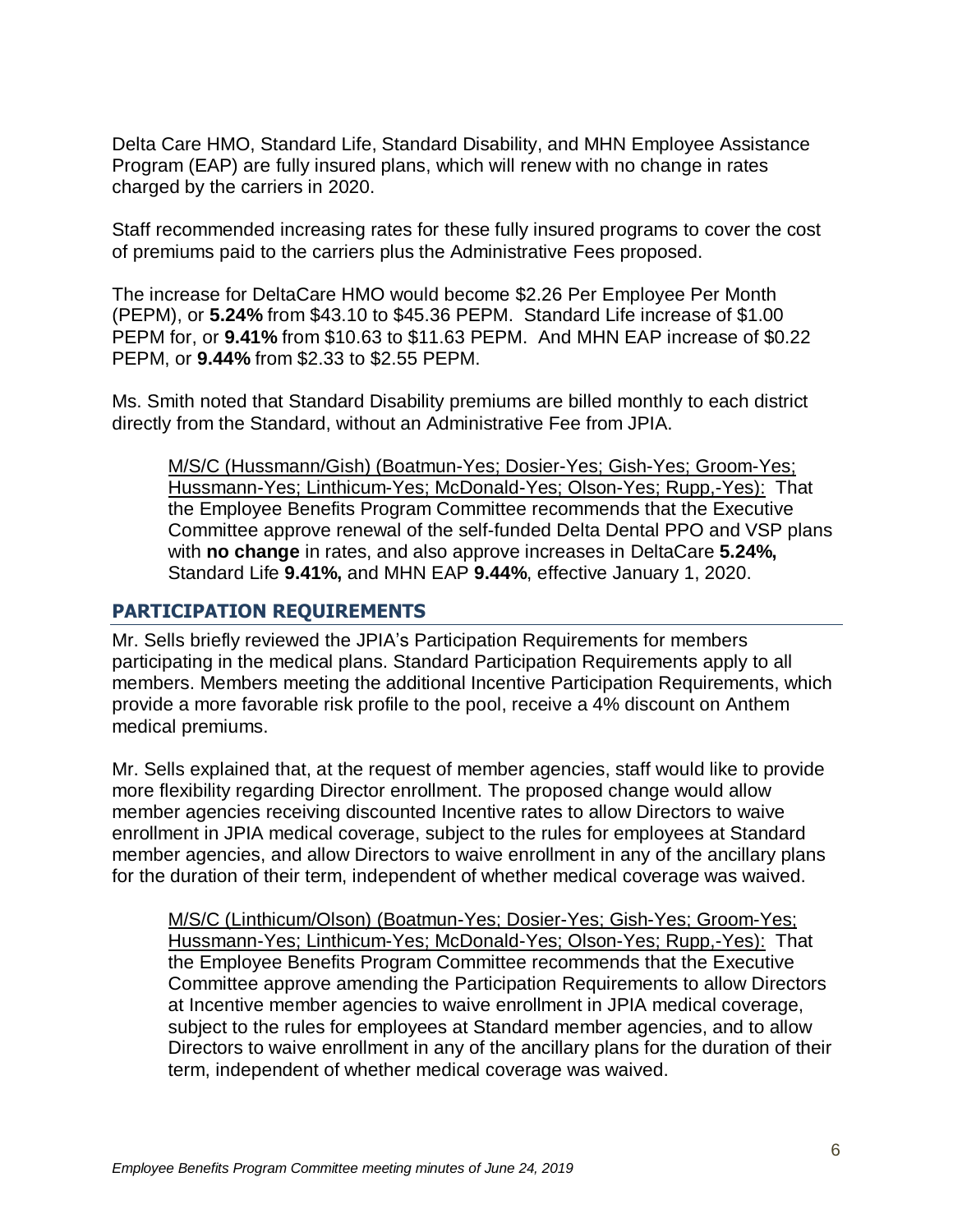Delta Care HMO, Standard Life, Standard Disability, and MHN Employee Assistance Program (EAP) are fully insured plans, which will renew with no change in rates charged by the carriers in 2020.

Staff recommended increasing rates for these fully insured programs to cover the cost of premiums paid to the carriers plus the Administrative Fees proposed.

The increase for DeltaCare HMO would become \$2.26 Per Employee Per Month (PEPM), or **5.24%** from \$43.10 to \$45.36 PEPM. Standard Life increase of \$1.00 PEPM for, or **9.41%** from \$10.63 to \$11.63 PEPM. And MHN EAP increase of \$0.22 PEPM, or **9.44%** from \$2.33 to \$2.55 PEPM.

Ms. Smith noted that Standard Disability premiums are billed monthly to each district directly from the Standard, without an Administrative Fee from JPIA.

M/S/C (Hussmann/Gish) (Boatmun-Yes; Dosier-Yes; Gish-Yes; Groom-Yes; Hussmann-Yes; Linthicum-Yes; McDonald-Yes; Olson-Yes; Rupp,-Yes): That the Employee Benefits Program Committee recommends that the Executive Committee approve renewal of the self-funded Delta Dental PPO and VSP plans with **no change** in rates, and also approve increases in DeltaCare **5.24%,** Standard Life **9.41%,** and MHN EAP **9.44%**, effective January 1, 2020.

## **PARTICIPATION REQUIREMENTS**

Mr. Sells briefly reviewed the JPIA's Participation Requirements for members participating in the medical plans. Standard Participation Requirements apply to all members. Members meeting the additional Incentive Participation Requirements, which provide a more favorable risk profile to the pool, receive a 4% discount on Anthem medical premiums.

Mr. Sells explained that, at the request of member agencies, staff would like to provide more flexibility regarding Director enrollment. The proposed change would allow member agencies receiving discounted Incentive rates to allow Directors to waive enrollment in JPIA medical coverage, subject to the rules for employees at Standard member agencies, and allow Directors to waive enrollment in any of the ancillary plans for the duration of their term, independent of whether medical coverage was waived.

M/S/C (Linthicum/Olson) (Boatmun-Yes; Dosier-Yes; Gish-Yes; Groom-Yes; Hussmann-Yes; Linthicum-Yes; McDonald-Yes; Olson-Yes; Rupp,-Yes): That the Employee Benefits Program Committee recommends that the Executive Committee approve amending the Participation Requirements to allow Directors at Incentive member agencies to waive enrollment in JPIA medical coverage, subject to the rules for employees at Standard member agencies, and to allow Directors to waive enrollment in any of the ancillary plans for the duration of their term, independent of whether medical coverage was waived.